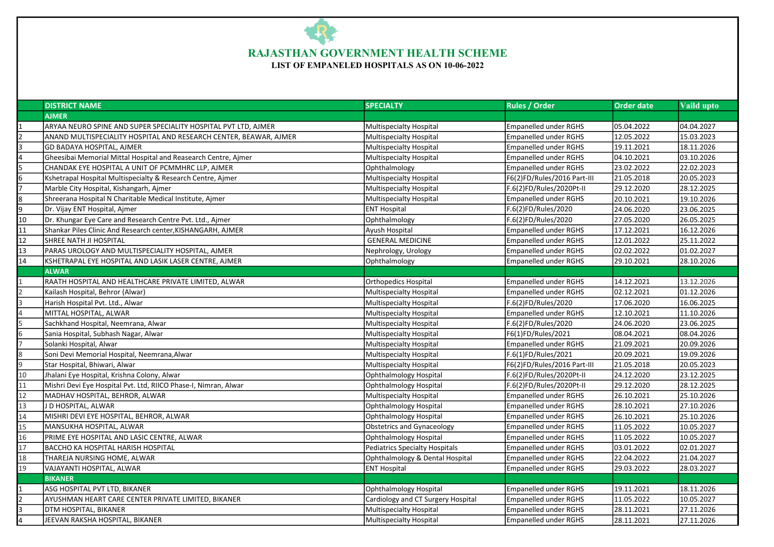## RAJASTHAN GOVERNMENT HEALTH SCHEME

LIST OF EMPANELED HOSPITALS AS ON 10-06-2022

|                         | <b>DISTRICT NAME</b>                                              | <b>SPECIALTY</b>                           | <b>Rules / Order</b>         | <b>Order date</b> | Vaild upto |
|-------------------------|-------------------------------------------------------------------|--------------------------------------------|------------------------------|-------------------|------------|
|                         | <b>AJMER</b>                                                      |                                            |                              |                   |            |
|                         | ARYAA NEURO SPINE AND SUPER SPECIALITY HOSPITAL PVT LTD, AJMER    | Multispecialty Hospital                    | <b>Empanelled under RGHS</b> | 05.04.2022        | 04.04.2027 |
|                         | ANAND MULTISPECIALITY HOSPITAL AND RESEARCH CENTER, BEAWAR, AJMER | Multispecialty Hospital                    | <b>Empanelled under RGHS</b> | 12.05.2022        | 15.03.2023 |
| $\overline{3}$          | GD BADAYA HOSPITAL, AJMER                                         | Multispecialty Hospital                    | <b>Empanelled under RGHS</b> | 19.11.2021        | 18.11.2026 |
| $\overline{\mathbf{4}}$ | Gheesibai Memorial Mittal Hospital and Reasearch Centre, Ajmer    | <b>Multispecialty Hospital</b>             | <b>Empanelled under RGHS</b> | 04.10.2021        | 03.10.2026 |
| 5                       | CHANDAK EYE HOSPITAL A UNIT OF PCMMHRC LLP, AJMER                 | Ophthalmology                              | <b>Empanelled under RGHS</b> | 23.02.2022        | 22.02.2023 |
| 6                       | Kshetrapal Hospital Multispecialty & Research Centre, Ajmer       | Multispecialty Hospital                    | F6(2)FD/Rules/2016 Part-III  | 21.05.2018        | 20.05.2023 |
|                         | Marble City Hospital, Kishangarh, Ajmer                           | Multispecialty Hospital                    | F.6(2)FD/Rules/2020Pt-II     | 29.12.2020        | 28.12.2025 |
| 8                       | Shreerana Hospital N Charitable Medical Institute, Ajmer          | Multispecialty Hospital                    | <b>Empanelled under RGHS</b> | 20.10.2021        | 19.10.2026 |
| 9                       | Dr. Vijay ENT Hospital, Ajmer                                     | <b>ENT Hospital</b><br>F.6(2)FD/Rules/2020 |                              | 24.06.2020        | 23.06.2025 |
| 10                      | Dr. Khungar Eye Care and Research Centre Pvt. Ltd., Ajmer         | Ophthalmology                              | F.6(2)FD/Rules/2020          | 27.05.2020        | 26.05.2025 |
| 11                      | Shankar Piles Clinic And Research center, KISHANGARH, AJMER       | Ayush Hospital                             | <b>Empanelled under RGHS</b> | 17.12.2021        | 16.12.2026 |
| 12                      | SHREE NATH JI HOSPITAL                                            | <b>GENERAL MEDICINE</b>                    | <b>Empanelled under RGHS</b> | 12.01.2022        | 25.11.2022 |
| 13                      | PARAS UROLOGY AND MULTISPECIALITY HOSPITAL, AJMER                 | Nephrology, Urology                        | <b>Empanelled under RGHS</b> | 02.02.2022        | 01.02.2027 |
| 14                      | KSHETRAPAL EYE HOSPITAL AND LASIK LASER CENTRE, AJMER             | Ophthalmology                              | <b>Empanelled under RGHS</b> | 29.10.2021        | 28.10.2026 |
|                         | <b>ALWAR</b>                                                      |                                            |                              |                   |            |
|                         | RAATH HOSPITAL AND HEALTHCARE PRIVATE LIMITED, ALWAR              | <b>Orthopedics Hospital</b>                | <b>Empanelled under RGHS</b> | 14.12.2021        | 13.12.2026 |
| $\overline{2}$          | Kailash Hospital, Behror (Alwar)                                  | Multispecialty Hospital                    | <b>Empanelled under RGHS</b> | 02.12.2021        | 01.12.2026 |
| <sup>3</sup>            | Harish Hospital Pvt. Ltd., Alwar                                  | Multispecialty Hospital                    | F.6(2)FD/Rules/2020          | 17.06.2020        | 16.06.2025 |
| $\overline{4}$          | MITTAL HOSPITAL, ALWAR                                            | <b>Multispecialty Hospital</b>             | <b>Empanelled under RGHS</b> | 12.10.2021        | 11.10.2026 |
| $\overline{5}$          | Sachkhand Hospital, Neemrana, Alwar                               | <b>Multispecialty Hospital</b>             | F.6(2)FD/Rules/2020          | 24.06.2020        | 23.06.2025 |
| 6                       | Sania Hospital, Subhash Nagar, Alwar                              | <b>Multispecialty Hospital</b>             | F6(1)FD/Rules/2021           | 08.04.2021        | 08.04.2026 |
| 17                      | Solanki Hospital, Alwar                                           | <b>Multispecialty Hospital</b>             | <b>Empanelled under RGHS</b> | 21.09.2021        | 20.09.2026 |
| 8                       | Soni Devi Memorial Hospital, Neemrana, Alwar                      | <b>Multispecialty Hospital</b>             | F.6(1)FD/Rules/2021          | 20.09.2021        | 19.09.2026 |
| 9                       | Star Hospital, Bhiwari, Alwar                                     | Multispecialty Hospital                    | F6(2)FD/Rules/2016 Part-III  | 21.05.2018        | 20.05.2023 |
| 10                      | Jhalani Eye Hospital, Krishna Colony, Alwar                       | Ophthalmology Hospital                     | F.6(2)FD/Rules/2020Pt-II     | 24.12.2020        | 23.12.2025 |
| 11                      | Mishri Devi Eye Hospital Pvt. Ltd, RIICO Phase-I, Nimran, Alwar   | Ophthalmology Hospital                     | F.6(2)FD/Rules/2020Pt-II     | 29.12.2020        | 28.12.2025 |
| 12                      | MADHAV HOSPITAL, BEHROR, ALWAR                                    | <b>Multispecialty Hospital</b>             | <b>Empanelled under RGHS</b> | 26.10.2021        | 25.10.2026 |
| 13                      | J D HOSPITAL, ALWAR                                               | Ophthalmology Hospital                     | <b>Empanelled under RGHS</b> | 28.10.2021        | 27.10.2026 |
| 14                      | MISHRI DEVI EYE HOSPITAL, BEHROR, ALWAR                           | Ophthalmology Hospital                     | <b>Empanelled under RGHS</b> | 26.10.2021        | 25.10.2026 |
| 15                      | MANSUKHA HOSPITAL, ALWAR                                          | <b>Obstetrics and Gynaceology</b>          | <b>Empanelled under RGHS</b> | 11.05.2022        | 10.05.2027 |
| 16                      | PRIME EYE HOSPITAL AND LASIC CENTRE, ALWAR                        | Ophthalmology Hospital                     | <b>Empanelled under RGHS</b> | 11.05.2022        | 10.05.2027 |
| 17                      | <b>BACCHO KA HOSPITAL HARISH HOSPITAL</b>                         | <b>Pediatrics Specialty Hospitals</b>      | <b>Empanelled under RGHS</b> | 03.01.2022        | 02.01.2027 |
| 18                      | THAREJA NURSING HOME, ALWAR                                       | Ophthalmology & Dental Hospital            | <b>Empanelled under RGHS</b> | 22.04.2022        | 21.04.2027 |
| 19                      | VAJAYANTI HOSPITAL, ALWAR                                         | <b>ENT Hospital</b>                        | <b>Empanelled under RGHS</b> | 29.03.2022        | 28.03.2027 |
|                         | <b>BIKANER</b>                                                    |                                            |                              |                   |            |
|                         | ASG HOSPITAL PVT LTD, BIKANER                                     | Ophthalmology Hospital                     | <b>Empanelled under RGHS</b> | 19.11.2021        | 18.11.2026 |
| $\overline{2}$          | AYUSHMAN HEART CARE CENTER PRIVATE LIMITED, BIKANER               | Cardiology and CT Surgery Hospital         | <b>Empanelled under RGHS</b> | 11.05.2022        | 10.05.2027 |
| 3                       | DTM HOSPITAL, BIKANER                                             | <b>Multispecialty Hospital</b>             | <b>Empanelled under RGHS</b> | 28.11.2021        | 27.11.2026 |
| $\overline{\mathbf{r}}$ | JEEVAN RAKSHA HOSPITAL. BIKANER                                   | <b>Multispecialty Hospital</b>             | <b>Empanelled under RGHS</b> | 28.11.2021        | 27.11.2026 |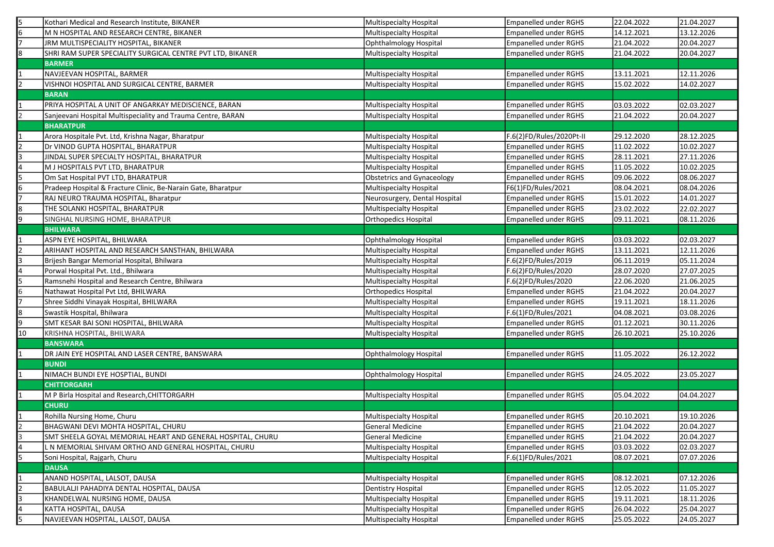|                | Kothari Medical and Research Institute, BIKANER               | Multispecialty Hospital       | <b>Empanelled under RGHS</b> | 22.04.2022 | 21.04.2027 |
|----------------|---------------------------------------------------------------|-------------------------------|------------------------------|------------|------------|
|                | M N HOSPITAL AND RESEARCH CENTRE, BIKANER                     | Multispecialty Hospital       | <b>Empanelled under RGHS</b> | 14.12.2021 | 13.12.2026 |
|                | JRM MULTISPECIALITY HOSPITAL, BIKANER                         | Ophthalmology Hospital        | Empanelled under RGHS        | 21.04.2022 | 20.04.2027 |
| 8              | SHRI RAM SUPER SPECIALITY SURGICAL CENTRE PVT LTD, BIKANER    | Multispecialty Hospital       | Empanelled under RGHS        | 21.04.2022 | 20.04.2027 |
|                | <b>BARMER</b>                                                 |                               |                              |            |            |
|                | NAVJEEVAN HOSPITAL, BARMER                                    | Multispecialty Hospital       | <b>Empanelled under RGHS</b> | 13.11.2021 | 12.11.2026 |
| 2              | VISHNOI HOSPITAL AND SURGICAL CENTRE, BARMER                  | Multispecialty Hospital       | Empanelled under RGHS        | 15.02.2022 | 14.02.2027 |
|                | <b>BARAN</b>                                                  |                               |                              |            |            |
|                | PRIYA HOSPITAL A UNIT OF ANGARKAY MEDISCIENCE, BARAN          | Multispecialty Hospital       | <b>Empanelled under RGHS</b> | 03.03.2022 | 02.03.2027 |
|                | Sanjeevani Hospital Multispeciality and Trauma Centre, BARAN  | Multispecialty Hospital       | <b>Empanelled under RGHS</b> | 21.04.2022 | 20.04.2027 |
|                | <b>BHARATPUR</b>                                              |                               |                              |            |            |
|                | Arora Hospitale Pvt. Ltd, Krishna Nagar, Bharatpur            | Multispecialty Hospital       | F.6(2)FD/Rules/2020Pt-II     | 29.12.2020 | 28.12.2025 |
| I2             | Dr VINOD GUPTA HOSPITAL, BHARATPUR                            | Multispecialty Hospital       | <b>Empanelled under RGHS</b> | 11.02.2022 | 10.02.2027 |
| l3             | JINDAL SUPER SPECIALTY HOSPITAL, BHARATPUR                    | Multispecialty Hospital       | Empanelled under RGHS        | 28.11.2021 | 27.11.2026 |
|                | M J HOSPITALS PVT LTD, BHARATPUR                              | Multispecialty Hospital       | <b>Empanelled under RGHS</b> | 11.05.2022 | 10.02.2025 |
| 15             | Om Sat Hospital PVT LTD, BHARATPUR                            | Obstetrics and Gynaceology    | Empanelled under RGHS        | 09.06.2022 | 08.06.2027 |
| l6             | Pradeep Hospital & Fracture Clinic, Be-Narain Gate, Bharatpur | Multispecialty Hospital       | F6(1)FD/Rules/2021           | 08.04.2021 | 08.04.2026 |
|                | RAJ NEURO TRAUMA HOSPITAL, Bharatpur                          | Neurosurgery, Dental Hospital | <b>Empanelled under RGHS</b> | 15.01.2022 | 14.01.2027 |
| l8             | THE SOLANKI HOSPITAL, BHARATPUR                               | Multispecialty Hospital       | Empanelled under RGHS        | 23.02.2022 | 22.02.2027 |
| 9              | SINGHAL NURSING HOME, BHARATPUR                               | Orthopedics Hospital          | <b>Empanelled under RGHS</b> | 09.11.2021 | 08.11.2026 |
|                | <b>BHILWARA</b>                                               |                               |                              |            |            |
|                | ASPN EYE HOSPITAL, BHILWARA                                   | Ophthalmology Hospital        | <b>Empanelled under RGHS</b> | 03.03.2022 | 02.03.2027 |
| 2              | ARIHANT HOSPITAL AND RESEARCH SANSTHAN, BHILWARA              | Multispecialty Hospital       | <b>Empanelled under RGHS</b> | 13.11.2021 | 12.11.2026 |
| 3              | Brijesh Bangar Memorial Hospital, Bhilwara                    | Multispecialty Hospital       | F.6(2)FD/Rules/2019          | 06.11.2019 | 05.11.2024 |
|                | Porwal Hospital Pvt. Ltd., Bhilwara                           | Multispecialty Hospital       | F.6(2)FD/Rules/2020          | 28.07.2020 | 27.07.2025 |
|                | Ramsnehi Hospital and Research Centre, Bhilwara               | Multispecialty Hospital       | F.6(2)FD/Rules/2020          | 22.06.2020 | 21.06.2025 |
|                | Nathawat Hospital Pvt Ltd, BHILWARA                           | Orthopedics Hospital          | <b>Empanelled under RGHS</b> | 21.04.2022 | 20.04.2027 |
| 17             | Shree Siddhi Vinayak Hospital, BHILWARA                       | Multispecialty Hospital       | Empanelled under RGHS        | 19.11.2021 | 18.11.2026 |
| 8              | Swastik Hospital, Bhilwara                                    | Multispecialty Hospital       | F.6(1)FD/Rules/2021          | 04.08.2021 | 03.08.2026 |
| 9              | SMT KESAR BAI SONI HOSPITAL, BHILWARA                         | Multispecialty Hospital       | Empanelled under RGHS        | 01.12.2021 | 30.11.2026 |
| 10             | KRISHNA HOSPITAL, BHILWARA                                    | Multispecialty Hospital       | <b>Empanelled under RGHS</b> | 26.10.2021 | 25.10.2026 |
|                | BANSWARA                                                      |                               |                              |            |            |
|                | DR JAIN EYE HOSPITAL AND LASER CENTRE, BANSWARA               | Ophthalmology Hospital        | Empanelled under RGHS        | 11.05.2022 | 26.12.2022 |
|                | <b>BUNDI</b>                                                  |                               |                              |            |            |
|                | NIMACH BUNDI EYE HOSPTIAL, BUNDI                              | Ophthalmology Hospital        | Empanelled under RGHS        | 24.05.2022 | 23.05.2027 |
|                | <b>CHITTORGARH</b>                                            |                               |                              |            |            |
|                | M P Birla Hospital and Research, CHITTORGARH                  | Multispecialty Hospital       | Empanelled under RGHS        | 05.04.2022 | 04.04.2027 |
|                | <b>CHURU</b>                                                  |                               |                              |            |            |
|                | Rohilla Nursing Home, Churu                                   | Multispecialty Hospital       | Empanelled under RGHS        | 20.10.2021 | 19.10.2026 |
| $\overline{2}$ | BHAGWANI DEVI MOHTA HOSPITAL, CHURU                           | General Medicine              | <b>Empanelled under RGHS</b> | 21.04.2022 | 20.04.2027 |
| 3              | SMT SHEELA GOYAL MEMORIAL HEART AND GENERAL HOSPITAL, CHURU   | General Medicine              | <b>Empanelled under RGHS</b> | 21.04.2022 | 20.04.2027 |
| 4              | L N MEMORIAL SHIVAM ORTHO AND GENERAL HOSPITAL, CHURU         | Multispecialty Hospital       | <b>Empanelled under RGHS</b> | 03.03.2022 | 02.03.2027 |
| 5              | Soni Hospital, Rajgarh, Churu                                 | Multispecialty Hospital       | F.6(1)FD/Rules/2021          | 08.07.2021 | 07.07.2026 |
|                | <b>DAUSA</b>                                                  |                               |                              |            |            |
|                | ANAND HOSPITAL, LALSOT, DAUSA                                 | Multispecialty Hospital       | Empanelled under RGHS        | 08.12.2021 | 07.12.2026 |
| I <sub>2</sub> | BABULALJI PAHADIYA DENTAL HOSPITAL, DAUSA                     | Dentistry Hospital            | Empanelled under RGHS        | 12.05.2022 | 11.05.2027 |
| l3             | KHANDELWAL NURSING HOME, DAUSA                                | Multispecialty Hospital       | <b>Empanelled under RGHS</b> | 19.11.2021 | 18.11.2026 |
| 4              | KATTA HOSPITAL, DAUSA                                         | Multispecialty Hospital       | Empanelled under RGHS        | 26.04.2022 | 25.04.2027 |
| l5             | NAVJEEVAN HOSPITAL, LALSOT, DAUSA                             | Multispecialty Hospital       | Empanelled under RGHS        | 25.05.2022 | 24.05.2027 |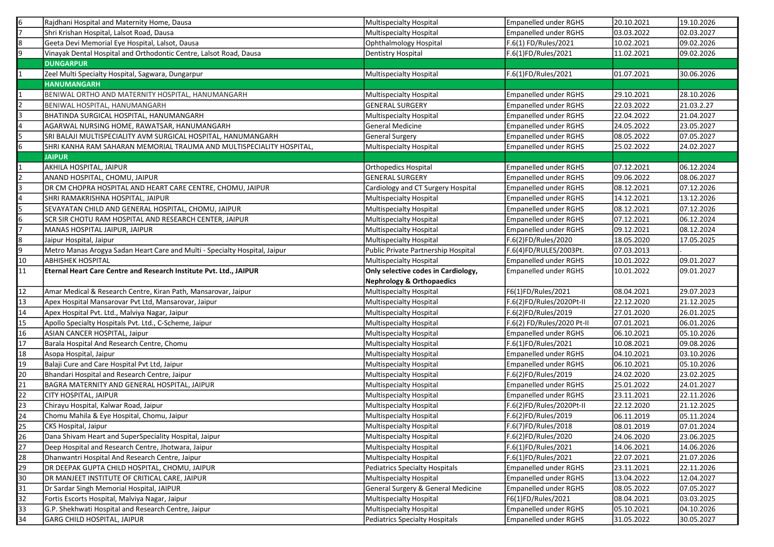| 6               | Rajdhani Hospital and Maternity Home, Dausa                                        | Multispecialty Hospital                                   | <b>Empanelled under RGHS</b>                          | 20.10.2021               | 19.10.2026               |
|-----------------|------------------------------------------------------------------------------------|-----------------------------------------------------------|-------------------------------------------------------|--------------------------|--------------------------|
|                 | Shri Krishan Hospital, Lalsot Road, Dausa                                          | Multispecialty Hospital                                   | Empanelled under RGHS                                 | 03.03.2022               | 02.03.2027               |
| l8              | Geeta Devi Memorial Eye Hospital, Lalsot, Dausa                                    | Ophthalmology Hospital                                    | F.6(1) FD/Rules/2021                                  | 10.02.2021               | 09.02.2026               |
| 9               | Vinayak Dental Hospital and Orthodontic Centre, Lalsot Road, Dausa                 | Dentistry Hospital                                        | F.6(1)FD/Rules/2021                                   | 11.02.2021               | 09.02.2026               |
|                 | <b>DUNGARPUR</b>                                                                   |                                                           |                                                       |                          |                          |
|                 | Zeel Multi Specialty Hospital, Sagwara, Dungarpur                                  | Multispecialty Hospital                                   | F.6(1)FD/Rules/2021                                   | 01.07.2021               | 30.06.2026               |
|                 | HANUMANGARH                                                                        |                                                           |                                                       |                          |                          |
|                 | BENIWAL ORTHO AND MATERNITY HOSPITAL, HANUMANGARH                                  | Multispecialty Hospital                                   | Empanelled under RGHS                                 | 29.10.2021               | 28.10.2026               |
|                 | BENIWAL HOSPITAL, HANUMANGARH                                                      | <b>GENERAL SURGERY</b>                                    | <b>Empanelled under RGHS</b>                          | 22.03.2022               | 21.03.2.27               |
|                 | BHATINDA SURGICAL HOSPITAL, HANUMANGARH                                            | Multispecialty Hospital                                   | Empanelled under RGHS                                 | 22.04.2022               | 21.04.2027               |
|                 | AGARWAL NURSING HOME, RAWATSAR, HANUMANGARH                                        | General Medicine                                          | <b>Empanelled under RGHS</b>                          | 24.05.2022               | 23.05.2027               |
|                 | SRI BALAJI MULTISPECIALITY AVM SURGICAL HOSPITAL, HANUMANGARH                      | General Surgery                                           | <b>Empanelled under RGHS</b>                          | 08.05.2022               | 07.05.2027               |
| 6               | SHRI KANHA RAM SAHARAN MEMORIAL TRAUMA AND MULTISPECIALITY HOSPITAL,               | Multispecialty Hospital                                   | <b>Empanelled under RGHS</b>                          | 25.02.2022               | 24.02.2027               |
|                 | <b>JAIPUR</b>                                                                      |                                                           |                                                       |                          |                          |
|                 | AKHILA HOSPITAL, JAIPUR                                                            | Orthopedics Hospital                                      | Empanelled under RGHS                                 | 07.12.2021               | 06.12.2024               |
|                 | ANAND HOSPITAL, CHOMU, JAIPUR                                                      | <b>GENERAL SURGERY</b>                                    | Empanelled under RGHS                                 | 09.06.2022               | 08.06.2027               |
|                 | DR CM CHOPRA HOSPITAL AND HEART CARE CENTRE, CHOMU, JAIPUR                         | Cardiology and CT Surgery Hospital                        | <b>Empanelled under RGHS</b>                          | 08.12.2021               | 07.12.2026               |
|                 | SHRI RAMAKRISHNA HOSPITAL, JAIPUR                                                  | Multispecialty Hospital                                   | <b>Empanelled under RGHS</b>                          | 14.12.2021               | 13.12.2026               |
|                 | SEVAYATAN CHILD AND GENERAL HOSPITAL, CHOMU, JAIPUR                                | Multispecialty Hospital                                   | Empanelled under RGHS                                 | 08.12.2021               | 07.12.2026               |
| l6              | SCR SIR CHOTU RAM HOSPITAL AND RESEARCH CENTER, JAIPUR                             | Multispecialty Hospital                                   | Empanelled under RGHS                                 | 07.12.2021               | 06.12.2024               |
|                 | MANAS HOSPITAL JAIPUR, JAIPUR                                                      | Multispecialty Hospital                                   | <b>Empanelled under RGHS</b>                          | 09.12.2021               | 08.12.2024               |
| 8               | Jaipur Hospital, Jaipur                                                            | Multispecialty Hospital                                   | F.6(2)FD/Rules/2020                                   | 18.05.2020               | 17.05.2025               |
| 9               | Metro Manas Arogya Sadan Heart Care and Multi - Specialty Hospital, Jaipur         | Public Private Partnership Hospital                       | F.6(4)FD/RULES/2003Pt.                                | 07.03.2013               |                          |
| 10              | <b>ABHISHEK HOSPITAL</b>                                                           | Multispecialty Hospital                                   | Empanelled under RGHS                                 | 10.01.2022               | 09.01.2027               |
| $\overline{11}$ | Eternal Heart Care Centre and Research Institute Pvt. Ltd., JAIPUR                 | Only selective codes in Cardiology,                       | <b>Empanelled under RGHS</b>                          | 10.01.2022               | 09.01.2027               |
|                 |                                                                                    |                                                           |                                                       |                          |                          |
|                 |                                                                                    | <b>Nephrology &amp; Orthopaedics</b>                      |                                                       |                          |                          |
| 12              | Amar Medical & Research Centre, Kiran Path, Mansarovar, Jaipur                     | Multispecialty Hospital                                   | F6(1)FD/Rules/2021                                    | 08.04.2021               | 29.07.2023               |
| 13              | Apex Hospital Mansarovar Pvt Ltd, Mansarovar, Jaipur                               | Multispecialty Hospital                                   | F.6(2)FD/Rules/2020Pt-II                              | 22.12.2020               | 21.12.2025               |
| 14              | Apex Hospital Pvt. Ltd., Malviya Nagar, Jaipur                                     | Multispecialty Hospital                                   | F.6(2)FD/Rules/2019                                   | 27.01.2020               | 26.01.2025               |
| 15              | Apollo Specialty Hospitals Pvt. Ltd., C-Scheme, Jaipur                             | Multispecialty Hospital                                   | F.6(2) FD/Rules/2020 Pt-II                            | 07.01.2021               | 06.01.2026               |
| 16              | ASIAN CANCER HOSPITAL, Jaipur                                                      | Multispecialty Hospital                                   | <b>Empanelled under RGHS</b>                          | 06.10.2021               | 05.10.2026               |
| 17              | Barala Hospital And Research Centre, Chomu                                         | Multispecialty Hospital                                   | F.6(1)FD/Rules/2021                                   | 10.08.2021               | 09.08.2026               |
| 18              | Asopa Hospital, Jaipur                                                             | Multispecialty Hospital                                   | Empanelled under RGHS                                 | 04.10.2021               | 03.10.2026               |
| 19              | Balaji Cure and Care Hospital Pvt Ltd, Jaipur                                      | Multispecialty Hospital                                   | <b>Empanelled under RGHS</b>                          | 06.10.2021               | 05.10.2026               |
| 20              | Bhandari Hospital and Research Centre, Jaipur                                      | Multispecialty Hospital                                   | F.6(2)FD/Rules/2019                                   | 24.02.2020               | 23.02.2025               |
| 21              | BAGRA MATERNITY AND GENERAL HOSPITAL, JAIPUR                                       | Multispecialty Hospital                                   | Empanelled under RGHS                                 | 25.01.2022               | 24.01.2027               |
| 22              | CITY HOSPITAL, JAIPUR                                                              | Multispecialty Hospital                                   | <b>Empanelled under RGHS</b>                          | 23.11.2021               | 22.11.2026               |
| 23              | Chirayu Hospital, Kalwar Road, Jaipur                                              | Multispecialty Hospital                                   | F.6(2)FD/Rules/2020Pt-II                              | 22.12.2020               | 21.12.2025               |
| 24              | Chomu Mahila & Eye Hospital, Chomu, Jaipur                                         | Multispecialty Hospital                                   | F.6(2)FD/Rules/2019                                   | 06.11.2019               | 05.11.2024               |
| 25              | CKS Hospital, Jaipur                                                               | Multispecialty Hospital                                   | F.6(7)FD/Rules/2018                                   | 08.01.2019               | 07.01.2024               |
| 26              | Dana Shivam Heart and SuperSpeciality Hospital, Jaipur                             | Multispecialty Hospital                                   | F.6(2)FD/Rules/2020                                   | 24.06.2020               | 23.06.2025               |
| 27              | Deep Hospital and Research Centre, Jhotwara, Jaipur                                | Multispecialty Hospital                                   | F.6(1)FD/Rules/2021                                   | 14.06.2021               | 14.06.2026               |
| 28              | Dhanwantri Hospital And Research Centre, Jaipur                                    | Multispecialty Hospital                                   | F.6(1)FD/Rules/2021                                   | 22.07.2021               | 21.07.2026               |
| 29              | DR DEEPAK GUPTA CHILD HOSPITAL, CHOMU, JAIPUR                                      | Pediatrics Specialty Hospitals                            | <b>Empanelled under RGHS</b>                          | 23.11.2021               | 22.11.2026               |
| 30              | DR MANJEET INSTITUTE OF CRITICAL CARE, JAIPUR                                      | Multispecialty Hospital                                   | <b>Empanelled under RGHS</b>                          | 13.04.2022               | 12.04.2027               |
| 31              | Dr Sardar Singh Memorial Hospital, JAIPUR                                          | General Surgery & General Medicine                        | <b>Empanelled under RGHS</b>                          | 08.05.2022               | 07.05.2027               |
| 32              | Fortis Escorts Hospital, Malviya Nagar, Jaipur                                     | Multispecialty Hospital                                   | F6(1)FD/Rules/2021                                    | 08.04.2021               | 03.03.2025               |
| 33<br>34        | G.P. Shekhwati Hospital and Research Centre, Jaipur<br>GARG CHILD HOSPITAL, JAIPUR | Multispecialty Hospital<br>Pediatrics Specialty Hospitals | <b>Empanelled under RGHS</b><br>Empanelled under RGHS | 05.10.2021<br>31.05.2022 | 04.10.2026<br>30.05.2027 |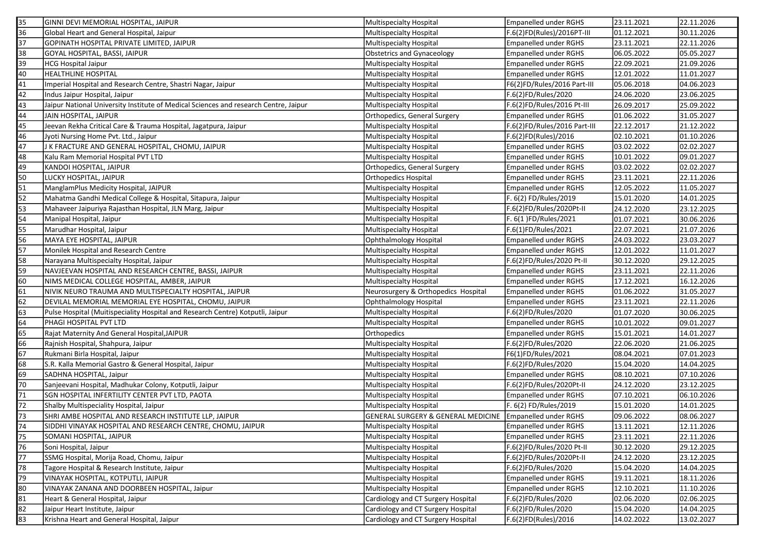| 35                                                                                                                                                                                                                                               | GINNI DEVI MEMORIAL HOSPITAL, JAIPUR                                           | Multispecialty Hospital             | <b>Empanelled under RGHS</b> | 23.11.2021 | 22.11.2026 |
|--------------------------------------------------------------------------------------------------------------------------------------------------------------------------------------------------------------------------------------------------|--------------------------------------------------------------------------------|-------------------------------------|------------------------------|------------|------------|
| 36                                                                                                                                                                                                                                               | Global Heart and General Hospital, Jaipur                                      | Multispecialty Hospital             | F.6(2)FD(Rules)/2016PT-III   | 01.12.2021 | 30.11.2026 |
| 37                                                                                                                                                                                                                                               | GOPINATH HOSPITAL PRIVATE LIMITED, JAIPUR                                      | Multispecialty Hospital             | <b>Empanelled under RGHS</b> | 23.11.2021 | 22.11.2026 |
| 38                                                                                                                                                                                                                                               | GOYAL HOSPITAL, BASSI, JAIPUR                                                  | Obstetrics and Gynaceology          | <b>Empanelled under RGHS</b> | 06.05.2022 | 05.05.2027 |
| 39                                                                                                                                                                                                                                               | <b>HCG Hospital Jaipur</b>                                                     | <b>Multispecialty Hospital</b>      | <b>Empanelled under RGHS</b> | 22.09.2021 | 21.09.2026 |
| 40                                                                                                                                                                                                                                               | <b>HEALTHLINE HOSPITAL</b>                                                     | Multispecialty Hospital             | Empanelled under RGHS        | 12.01.2022 | 11.01.2027 |
| 41                                                                                                                                                                                                                                               | Imperial Hospital and Research Centre, Shastri Nagar, Jaipur                   | Multispecialty Hospital             | F6(2)FD/Rules/2016 Part-III  | 05.06.2018 | 04.06.2023 |
| 42                                                                                                                                                                                                                                               | Indus Jaipur Hospital, Jaipur                                                  | Multispecialty Hospital             | F.6(2)FD/Rules/2020          | 24.06.2020 | 23.06.2025 |
| 43<br>Jaipur National University Institute of Medical Sciences and research Centre, Jaipur<br>44<br>JAIN HOSPITAL, JAIPUR<br>45<br>Jeevan Rekha Critical Care & Trauma Hospital, Jagatpura, Jaipur<br>46<br>Jyoti Nursing Home Pvt. Ltd., Jaipur |                                                                                | Multispecialty Hospital             | F.6(2)FD/Rules/2016 Pt-III   | 26.09.2017 | 25.09.2022 |
|                                                                                                                                                                                                                                                  |                                                                                | Orthopedics, General Surgery        | Empanelled under RGHS        | 01.06.2022 | 31.05.2027 |
|                                                                                                                                                                                                                                                  |                                                                                | Multispecialty Hospital             | F.6(2)FD/Rules/2016 Part-III | 22.12.2017 | 21.12.2022 |
|                                                                                                                                                                                                                                                  |                                                                                | Multispecialty Hospital             | F.6(2)FD(Rules)/2016         | 02.10.2021 | 01.10.2026 |
| 47                                                                                                                                                                                                                                               | J K FRACTURE AND GENERAL HOSPITAL, CHOMU, JAIPUR                               | Multispecialty Hospital             | <b>Empanelled under RGHS</b> | 03.02.2022 | 02.02.2027 |
| 48                                                                                                                                                                                                                                               | Kalu Ram Memorial Hospital PVT LTD                                             | Multispecialty Hospital             | <b>Empanelled under RGHS</b> | 10.01.2022 | 09.01.2027 |
| 49                                                                                                                                                                                                                                               | KANDOI HOSPITAL, JAIPUR                                                        | Orthopedics, General Surgery        | Empanelled under RGHS        | 03.02.2022 | 02.02.2027 |
| 50                                                                                                                                                                                                                                               | LUCKY HOSPITAL, JAIPUR                                                         | <b>Orthopedics Hospital</b>         | <b>Empanelled under RGHS</b> | 23.11.2021 | 22.11.2026 |
| 51                                                                                                                                                                                                                                               | ManglamPlus Medicity Hospital, JAIPUR                                          | Multispecialty Hospital             | Empanelled under RGHS        | 12.05.2022 | 11.05.2027 |
| 52                                                                                                                                                                                                                                               | Mahatma Gandhi Medical College & Hospital, Sitapura, Jaipur                    | Multispecialty Hospital             | F. 6(2) FD/Rules/2019        | 15.01.2020 | 14.01.2025 |
| 53                                                                                                                                                                                                                                               | Mahaveer Jaipuriya Rajasthan Hospital, JLN Marg, Jaipur                        | Multispecialty Hospital             | F.6(2)FD/Rules/2020Pt-II     | 24.12.2020 | 23.12.2025 |
| 54                                                                                                                                                                                                                                               | Manipal Hospital, Jaipur                                                       | Multispecialty Hospital             | F. 6(1)FD/Rules/2021         | 01.07.2021 | 30.06.2026 |
| 55                                                                                                                                                                                                                                               | Marudhar Hospital, Jaipur                                                      | Multispecialty Hospital             | F.6(1)FD/Rules/2021          | 22.07.2021 | 21.07.2026 |
| 56                                                                                                                                                                                                                                               | MAYA EYE HOSPITAL, JAIPUR                                                      | Ophthalmology Hospital              | <b>Empanelled under RGHS</b> | 24.03.2022 | 23.03.2027 |
| 57                                                                                                                                                                                                                                               | Monilek Hospital and Research Centre                                           | Multispecialty Hospital             | Empanelled under RGHS        | 12.01.2022 | 11.01.2027 |
| 58                                                                                                                                                                                                                                               | Narayana Multispecialty Hospital, Jaipur                                       | Multispecialty Hospital             | F.6(2)FD/Rules/2020 Pt-II    | 30.12.2020 | 29.12.2025 |
| 59                                                                                                                                                                                                                                               | NAVJEEVAN HOSPITAL AND RESEARCH CENTRE, BASSI, JAIPUR                          | Multispecialty Hospital             | Empanelled under RGHS        | 23.11.2021 | 22.11.2026 |
| 60                                                                                                                                                                                                                                               | NIMS MEDICAL COLLEGE HOSPITAL, AMBER, JAIPUR                                   | Multispecialty Hospital             | <b>Empanelled under RGHS</b> | 17.12.2021 | 16.12.2026 |
| 61                                                                                                                                                                                                                                               | NIVIK NEURO TRAUMA AND MULTISPECIALTY HOSPITAL, JAIPUR                         | Neurosurgery & Orthopedics Hospital | <b>Empanelled under RGHS</b> | 01.06.2022 | 31.05.2027 |
| 62                                                                                                                                                                                                                                               | DEVILAL MEMORIAL MEMORIAL EYE HOSPITAL, CHOMU, JAIPUR                          | Ophthalmology Hospital              | Empanelled under RGHS        | 23.11.2021 | 22.11.2026 |
| 63                                                                                                                                                                                                                                               | Pulse Hospital (Muitispeciality Hospital and Research Centre) Kotputli, Jaipur | Multispecialty Hospital             | F.6(2)FD/Rules/2020          | 01.07.2020 | 30.06.2025 |
| 64                                                                                                                                                                                                                                               | PHAGI HOSPITAL PVT LTD                                                         | <b>Multispecialty Hospital</b>      | <b>Empanelled under RGHS</b> | 10.01.2022 | 09.01.2027 |
| 65                                                                                                                                                                                                                                               | Rajat Maternity And General Hospital, JAIPUR                                   | Orthopedics                         | Empanelled under RGHS        | 15.01.2021 | 14.01.2027 |
| 66                                                                                                                                                                                                                                               | Rajnish Hospital, Shahpura, Jaipur                                             | Multispecialty Hospital             | F.6(2)FD/Rules/2020          | 22.06.2020 | 21.06.2025 |
| 67                                                                                                                                                                                                                                               | Rukmani Birla Hospital, Jaipur                                                 | Multispecialty Hospital             | F6(1)FD/Rules/2021           | 08.04.2021 | 07.01.2023 |
| 68                                                                                                                                                                                                                                               | S.R. Kalla Memorial Gastro & General Hospital, Jaipur                          | <b>Multispecialty Hospital</b>      | F.6(2)FD/Rules/2020          | 15.04.2020 | 14.04.2025 |
| 69                                                                                                                                                                                                                                               | SADHNA HOSPITAL, Jaipur                                                        | Multispecialty Hospital             | <b>Empanelled under RGHS</b> | 08.10.2021 | 07.10.2026 |
| 70                                                                                                                                                                                                                                               | Sanjeevani Hospital, Madhukar Colony, Kotputli, Jaipur                         | Multispecialty Hospital             | F.6(2)FD/Rules/2020Pt-II     | 24.12.2020 | 23.12.2025 |
| 71                                                                                                                                                                                                                                               | SGN HOSPITAL INFERTILITY CENTER PVT LTD, PAOTA                                 | Multispecialty Hospital             | <b>Empanelled under RGHS</b> | 07.10.2021 | 06.10.2026 |
| 72                                                                                                                                                                                                                                               | Shalby Multispeciality Hospital, Jaipur                                        | Multispecialty Hospital             | F. 6(2) FD/Rules/2019        | 15.01.2020 | 14.01.2025 |
| 73                                                                                                                                                                                                                                               | SHRI AMBE HOSPITAL AND RESEARCH INSTITUTE LLP, JAIPUR                          | GENERAL SURGERY & GENERAL MEDICINE  | Empanelled under RGHS        | 09.06.2022 | 08.06.2027 |
| 74                                                                                                                                                                                                                                               | SIDDHI VINAYAK HOSPITAL AND RESEARCH CENTRE, CHOMU, JAIPUR                     | Multispecialty Hospital             | Empanelled under RGHS        | 13.11.2021 | 12.11.2026 |
| 75                                                                                                                                                                                                                                               | SOMANI HOSPITAL, JAIPUR                                                        | Multispecialty Hospital             | <b>Empanelled under RGHS</b> | 23.11.2021 | 22.11.2026 |
| 76                                                                                                                                                                                                                                               | Soni Hospital, Jaipur                                                          | Multispecialty Hospital             | F.6(2)FD/Rules/2020 Pt-II    | 30.12.2020 | 29.12.2025 |
| 77                                                                                                                                                                                                                                               | SSMG Hospital, Morija Road, Chomu, Jaipur                                      | Multispecialty Hospital             | F.6(2)FD/Rules/2020Pt-II     | 24.12.2020 | 23.12.2025 |
| 78                                                                                                                                                                                                                                               | Tagore Hospital & Research Institute, Jaipur                                   | Multispecialty Hospital             | F.6(2)FD/Rules/2020          | 15.04.2020 | 14.04.2025 |
| 79                                                                                                                                                                                                                                               | VINAYAK HOSPITAL, KOTPUTLI, JAIPUR                                             | Multispecialty Hospital             | <b>Empanelled under RGHS</b> | 19.11.2021 | 18.11.2026 |
| 80                                                                                                                                                                                                                                               | VINAYAK ZANANA AND DOORBEEN HOSPITAL, Jaipur                                   | Multispecialty Hospital             | <b>Empanelled under RGHS</b> | 12.10.2021 | 11.10.2026 |
| 81                                                                                                                                                                                                                                               | Heart & General Hospital, Jaipur                                               | Cardiology and CT Surgery Hospital  | F.6(2)FD/Rules/2020          | 02.06.2020 | 02.06.2025 |
| 82                                                                                                                                                                                                                                               | Jaipur Heart Institute, Jaipur                                                 | Cardiology and CT Surgery Hospital  | F.6(2)FD/Rules/2020          | 15.04.2020 | 14.04.2025 |
| 83                                                                                                                                                                                                                                               | Krishna Heart and General Hospital, Jaipur                                     | Cardiology and CT Surgery Hospital  | F.6(2)FD(Rules)/2016         | 14.02.2022 | 13.02.2027 |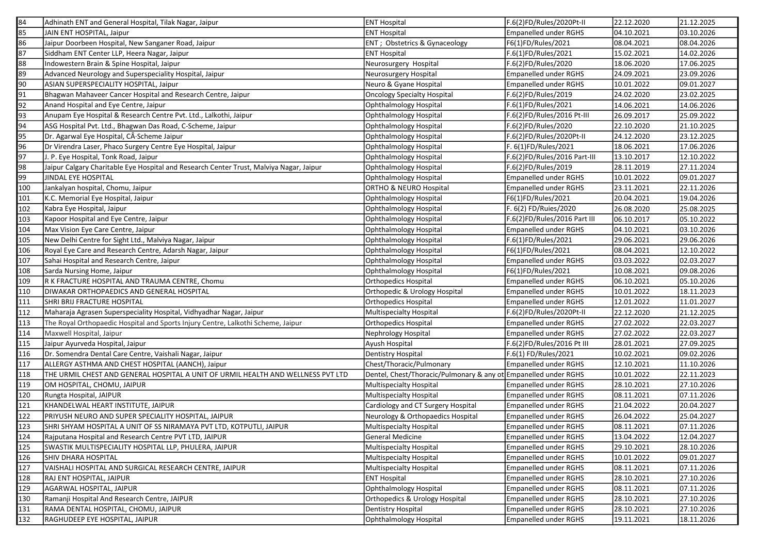| 84  | Adhinath ENT and General Hospital, Tilak Nagar, Jaipur                                  | <b>ENT Hospital</b>                                             | F.6(2)FD/Rules/2020Pt-II     | 22.12.2020 | 21.12.2025 |
|-----|-----------------------------------------------------------------------------------------|-----------------------------------------------------------------|------------------------------|------------|------------|
| 85  | JAIN ENT HOSPITAL, Jaipur                                                               | <b>ENT Hospital</b>                                             | <b>Empanelled under RGHS</b> | 04.10.2021 | 03.10.2026 |
| 86  | Jaipur Doorbeen Hospital, New Sanganer Road, Jaipur                                     | ENT ; Obstetrics & Gynaceology                                  | F6(1)FD/Rules/2021           | 08.04.2021 | 08.04.2026 |
| 87  | Siddham ENT Center LLP, Heera Nagar, Jaipur                                             | <b>ENT Hospital</b>                                             | F.6(1)FD/Rules/2021          | 15.02.2021 | 14.02.2026 |
| 88  | Indowestern Brain & Spine Hospital, Jaipur                                              | Neurosurgery Hospital                                           | F.6(2)FD/Rules/2020          | 18.06.2020 | 17.06.2025 |
| 89  | Advanced Neurology and Superspeciality Hospital, Jaipur                                 | Neurosurgery Hospital                                           | <b>Empanelled under RGHS</b> | 24.09.2021 | 23.09.2026 |
| 90  | ASIAN SUPERSPECIALITY HOSPITAL, Jaipur                                                  | Neuro & Gyane Hospital                                          | <b>Empanelled under RGHS</b> | 10.01.2022 | 09.01.2027 |
| 91  | Bhagwan Mahaveer Cancer Hospital and Research Centre, Jaipur                            | <b>Oncology Specialty Hospital</b>                              | F.6(2)FD/Rules/2019          | 24.02.2020 | 23.02.2025 |
| 92  | Anand Hospital and Eye Centre, Jaipur                                                   | Ophthalmology Hospital                                          | F.6(1)FD/Rules/2021          | 14.06.2021 | 14.06.2026 |
| 93  | Anupam Eye Hospital & Research Centre Pvt. Ltd., Lalkothi, Jaipur                       | Ophthalmology Hospital                                          | F.6(2)FD/Rules/2016 Pt-III   | 26.09.2017 | 25.09.2022 |
| 94  | ASG Hospital Pvt. Ltd., Bhagwan Das Road, C-Scheme, Jaipur                              | Ophthalmology Hospital                                          | F.6(2)FD/Rules/2020          | 22.10.2020 | 21.10.2025 |
| 95  | Dr. Agarwal Eye Hospital, C·Scheme Jaipur                                               | Ophthalmology Hospital                                          | F.6(2)FD/Rules/2020Pt-II     | 24.12.2020 | 23.12.2025 |
| 96  | Dr Virendra Laser, Phaco Surgery Centre Eye Hospital, Jaipur                            | Ophthalmology Hospital                                          | F. 6(1)FD/Rules/2021         | 18.06.2021 | 17.06.2026 |
| 97  | J. P. Eye Hospital, Tonk Road, Jaipur                                                   | Ophthalmology Hospital                                          | F.6(2)FD/Rules/2016 Part-III | 13.10.2017 | 12.10.2022 |
| 98  | Jaipur Calgary Charitable Eye Hospital and Research Center Trust, Malviya Nagar, Jaipur | Ophthalmology Hospital                                          | F.6(2)FD/Rules/2019          | 28.11.2019 | 27.11.2024 |
| 99  | JINDAL EYE HOSPITAL                                                                     | Ophthalmology Hospital                                          | <b>Empanelled under RGHS</b> | 10.01.2022 | 09.01.2027 |
| 100 | Jankalyan hospital, Chomu, Jaipur                                                       | ORTHO & NEURO Hospital                                          | <b>Empanelled under RGHS</b> | 23.11.2021 | 22.11.2026 |
| 101 | K.C. Memorial Eye Hospital, Jaipur                                                      | Ophthalmology Hospital                                          | F6(1)FD/Rules/2021           | 20.04.2021 | 19.04.2026 |
| 102 | Kabra Eye Hospital, Jaipur                                                              | Ophthalmology Hospital                                          | F. 6(2) FD/Ruies/2020        | 26.08.2020 | 25.08.2025 |
| 103 | Kapoor Hospital and Eye Centre, Jaipur                                                  | Ophthalmology Hospital                                          | F.6(2)FD/Rules/2016 Part III | 06.10.2017 | 05.10.2022 |
| 104 | Max Vision Eye Care Centre, Jaipur                                                      | Ophthalmology Hospital                                          | <b>Empanelled under RGHS</b> | 04.10.2021 | 03.10.2026 |
| 105 | New Delhi Centre for Sight Ltd., Malviya Nagar, Jaipur                                  | Ophthalmology Hospital                                          | F.6(1)FD/Rules/2021          | 29.06.2021 | 29.06.2026 |
| 106 | Royal Eye Care and Research Centre, Adarsh Nagar, Jaipur                                | <b>Ophthalmology Hospital</b>                                   | F6(1)FD/Rules/2021           | 08.04.2021 | 12.10.2022 |
| 107 | Sahai Hospital and Research Centre, Jaipur                                              | <b>Ophthalmology Hospital</b>                                   | <b>Empanelled under RGHS</b> | 03.03.2022 | 02.03.2027 |
| 108 | Sarda Nursing Home, Jaipur                                                              | Ophthalmology Hospital                                          | F6(1)FD/Rules/2021           | 10.08.2021 | 09.08.2026 |
| 109 | R K FRACTURE HOSPITAL AND TRAUMA CENTRE, Chomu                                          | Orthopedics Hospital                                            | <b>Empanelled under RGHS</b> | 06.10.2021 | 05.10.2026 |
| 110 | DIWAKAR ORTHOPAEDICS AND GENERAL HOSPITAL                                               | Orthopedic & Urology Hospital                                   | <b>Empanelled under RGHS</b> | 10.01.2022 | 18.11.2023 |
| 111 | SHRI BRIJ FRACTURE HOSPITAL                                                             | <b>Orthopedics Hospital</b>                                     | <b>Empanelled under RGHS</b> | 12.01.2022 | 11.01.2027 |
| 112 | Maharaja Agrasen Superspeciality Hospital, Vidhyadhar Nagar, Jaipur                     | Multispecialty Hospital                                         | F.6(2)FD/Rules/2020Pt-II     | 22.12.2020 | 21.12.2025 |
| 113 | The Royal Orthopaedic Hospital and Sports Injury Centre, Lalkothi Scheme, Jaipur        | Orthopedics Hospital                                            | <b>Empanelled under RGHS</b> | 27.02.2022 | 22.03.2027 |
| 114 | Maxwell Hospital, Jaipur                                                                | Nephrology Hospital                                             | <b>Empanelled under RGHS</b> | 27.02.2022 | 22.03.2027 |
| 115 | Jaipur Ayurveda Hospital, Jaipur                                                        | Ayush Hospital                                                  | F.6(2)FD/Rules/2016 Pt III   | 28.01.2021 | 27.09.2025 |
| 116 | Dr. Somendra Dental Care Centre, Vaishali Nagar, Jaipur                                 | Dentistry Hospital                                              | F.6(1) FD/Rules/2021         | 10.02.2021 | 09.02.2026 |
| 117 | ALLERGY ASTHMA AND CHEST HOSPITAL (AANCH), Jaipur                                       | Chest/Thoracic/Pulmonary                                        | <b>Empanelled under RGHS</b> | 12.10.2021 | 11.10.2026 |
| 118 | THE URMIL CHEST AND GENERAL HOSPITAL A UNIT OF URMIL HEALTH AND WELLNESS PVT LTD        | Dentel, Chest/Thoracic/Pulmonary & any ot Empanelled under RGHS |                              | 10.01.2022 | 22.11.2023 |
| 119 | OM HOSPITAL, CHOMU, JAIPUR                                                              | Multispecialty Hospital                                         | <b>Empanelled under RGHS</b> | 28.10.2021 | 27.10.2026 |
| 120 | Rungta Hospital, JAIPUR                                                                 | Multispecialty Hospital                                         | <b>Empanelled under RGHS</b> | 08.11.2021 | 07.11.2026 |
| 121 | KHANDELWAL HEART INSTITUTE, JAIPUR                                                      | Cardiology and CT Surgery Hospital                              | <b>Empanelled under RGHS</b> | 21.04.2022 | 20.04.2027 |
| 122 | PRIYUSH NEURO AND SUPER SPECIALITY HOSPITAL, JAIPUR                                     | Neurology & Orthopaedics Hospital                               | <b>Empanelled under RGHS</b> | 26.04.2022 | 25.04.2027 |
| 123 | SHRI SHYAM HOSPITAL A UNIT OF SS NIRAMAYA PVT LTD, KOTPUTLI, JAIPUR                     | Multispecialty Hospital                                         | Empanelled under RGHS        | 08.11.2021 | 07.11.2026 |
| 124 | Rajputana Hospital and Research Centre PVT LTD, JAIPUR                                  | General Medicine                                                | <b>Empanelled under RGHS</b> | 13.04.2022 | 12.04.2027 |
| 125 | SWASTIK MULTISPECIALITY HOSPITAL LLP, PHULERA, JAIPUR                                   | Multispecialty Hospital                                         | <b>Empanelled under RGHS</b> | 29.10.2021 | 28.10.2026 |
| 126 | SHIV DHARA HOSPITAL                                                                     | Multispecialty Hospital                                         | <b>Empanelled under RGHS</b> | 10.01.2022 | 09.01.2027 |
| 127 | VAISHALI HOSPITAL AND SURGICAL RESEARCH CENTRE, JAIPUR                                  | Multispecialty Hospital                                         | <b>Empanelled under RGHS</b> | 08.11.2021 | 07.11.2026 |
| 128 | RAJ ENT HOSPITAL, JAIPUR                                                                | <b>ENT Hospital</b>                                             | <b>Empanelled under RGHS</b> | 28.10.2021 | 27.10.2026 |
| 129 | AGARWAL HOSPITAL, JAIPUR                                                                | Ophthalmology Hospital                                          | <b>Empanelled under RGHS</b> | 08.11.2021 | 07.11.2026 |
| 130 | Ramanji Hospital And Research Centre, JAIPUR                                            | Orthopedics & Urology Hospital                                  | <b>Empanelled under RGHS</b> | 28.10.2021 | 27.10.2026 |
| 131 | RAMA DENTAL HOSPITAL, CHOMU, JAIPUR                                                     | Dentistry Hospital                                              | <b>Empanelled under RGHS</b> | 28.10.2021 | 27.10.2026 |
| 132 | RAGHUDEEP EYE HOSPITAL, JAIPUR                                                          | Ophthalmology Hospital                                          | Empanelled under RGHS        | 19.11.2021 | 18.11.2026 |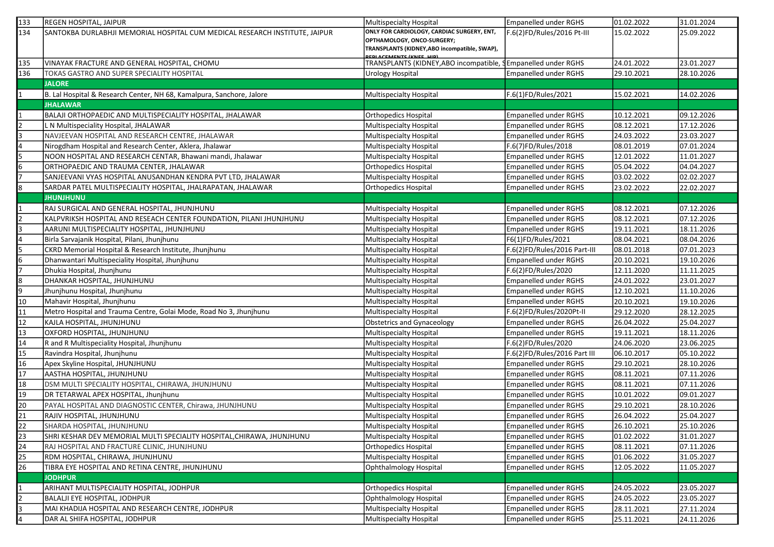| 133             | <b>REGEN HOSPITAL, JAIPUR</b>                                               | Multispecialty Hospital                                                         | Empanelled under RGHS         | 01.02.2022 | 31.01.2024 |
|-----------------|-----------------------------------------------------------------------------|---------------------------------------------------------------------------------|-------------------------------|------------|------------|
| 134             | SANTOKBA DURLABHJI MEMORIAL HOSPITAL CUM MEDICAL RESEARCH INSTITUTE, JAIPUR | ONLY FOR CARDIOLOGY, CARDIAC SURGERY, ENT,                                      | F.6(2)FD/Rules/2016 Pt-III    | 15.02.2022 | 25.09.2022 |
|                 |                                                                             | OPTHAMOLOGY, ONCO-SURGERY;                                                      |                               |            |            |
|                 |                                                                             | TRANSPLANTS (KIDNEY, ABO incompatible, SWAP),<br><b>REDIACEMENTS (KNEE HID)</b> |                               |            |            |
| 135             | VINAYAK FRACTURE AND GENERAL HOSPITAL, CHOMU                                | TRANSPLANTS (KIDNEY, ABO incompatible,                                          | <b>SEmpanelled under RGHS</b> | 24.01.2022 | 23.01.2027 |
| 136             | TOKAS GASTRO AND SUPER SPECIALITY HOSPITAL                                  | <b>Urology Hospital</b>                                                         | <b>Empanelled under RGHS</b>  | 29.10.2021 | 28.10.2026 |
|                 | <b>JALORE</b>                                                               |                                                                                 |                               |            |            |
| 1               | B. Lal Hospital & Research Center, NH 68, Kamalpura, Sanchore, Jalore       | Multispecialty Hospital                                                         | F.6(1)FD/Rules/2021           | 15.02.2021 | 14.02.2026 |
|                 | <b>JHALAWAR</b>                                                             |                                                                                 |                               |            |            |
|                 | BALAJI ORTHOPAEDIC AND MULTISPECIALITY HOSPITAL, JHALAWAR                   | Orthopedics Hospital                                                            | <b>Empanelled under RGHS</b>  | 10.12.2021 | 09.12.2026 |
|                 | L N Multispeciality Hospital, JHALAWAR                                      | Multispecialty Hospital                                                         | <b>Empanelled under RGHS</b>  | 08.12.2021 | 17.12.2026 |
|                 | NAVJEEVAN HOSPITAL AND RESEARCH CENTRE, JHALAWAR                            | Multispecialty Hospital                                                         | <b>Empanelled under RGHS</b>  | 24.03.2022 | 23.03.2027 |
| 4               | Nirogdham Hospital and Research Center, Aklera, Jhalawar                    | Multispecialty Hospital                                                         | F.6(7)FD/Rules/2018           | 08.01.2019 | 07.01.2024 |
| 5               | NOON HOSPITAL AND RESEARCH CENTAR, Bhawani mandi, Jhalawar                  | Multispecialty Hospital                                                         | <b>Empanelled under RGHS</b>  | 12.01.2022 | 11.01.2027 |
| 6               | ORTHOPAEDIC AND TRAUMA CENTER, JHALAWAR                                     | <b>Orthopedics Hospital</b>                                                     | <b>Empanelled under RGHS</b>  | 05.04.2022 | 04.04.2027 |
|                 | SANJEEVANI VYAS HOSPITAL ANUSANDHAN KENDRA PVT LTD, JHALAWAR                | Multispecialty Hospital                                                         | Empanelled under RGHS         | 03.02.2022 | 02.02.2027 |
| 8               | SARDAR PATEL MULTISPECIALITY HOSPITAL, JHALRAPATAN, JHALAWAR                | <b>Orthopedics Hospital</b>                                                     | Empanelled under RGHS         | 23.02.2022 | 22.02.2027 |
|                 | <b>JHUNJHUNU</b>                                                            |                                                                                 |                               |            |            |
|                 | RAJ SURGICAL AND GENERAL HOSPITAL, JHUNJHUNU                                | Multispecialty Hospital                                                         | Empanelled under RGHS         | 08.12.2021 | 07.12.2026 |
|                 | KALPVRIKSH HOSPITAL AND RESEACH CENTER FOUNDATION, PILANI JHUNJHUNU         | Multispecialty Hospital                                                         | <b>Empanelled under RGHS</b>  | 08.12.2021 | 07.12.2026 |
| 3               | AARUNI MULTISPECIALITY HOSPITAL, JHUNJHUNU                                  | <b>Multispecialty Hospital</b>                                                  | Empanelled under RGHS         | 19.11.2021 | 18.11.2026 |
| l4              | Birla Sarvajanik Hospital, Pilani, Jhunjhunu                                | <b>Multispecialty Hospital</b>                                                  | F6(1)FD/Rules/2021            | 08.04.2021 | 08.04.2026 |
| 5               | CKRD Memorial Hospital & Research Institute, Jhunjhunu                      | Multispecialty Hospital                                                         | F.6(2)FD/Rules/2016 Part-III  | 08.01.2018 | 07.01.2023 |
| 6               | Dhanwantari Multispeciality Hospital, Jhunjhunu                             | Multispecialty Hospital                                                         | <b>Empanelled under RGHS</b>  | 20.10.2021 | 19.10.2026 |
|                 | Dhukia Hospital, Jhunjhunu                                                  | <b>Multispecialty Hospital</b>                                                  | F.6(2)FD/Rules/2020           | 12.11.2020 | 11.11.2025 |
| 8               | DHANKAR HOSPITAL, JHUNJHUNU                                                 | Multispecialty Hospital                                                         | Empanelled under RGHS         | 24.01.2022 | 23.01.2027 |
| 9               | Jhunjhunu Hospital, Jhunjhunu                                               | <b>Multispecialty Hospital</b>                                                  | <b>Empanelled under RGHS</b>  | 12.10.2021 | 11.10.2026 |
| 10              | Mahavir Hospital, Jhunjhunu                                                 | <b>Multispecialty Hospital</b>                                                  | Empanelled under RGHS         | 20.10.2021 | 19.10.2026 |
| 11              | Metro Hospital and Trauma Centre, Golai Mode, Road No 3, Jhunjhunu          | Multispecialty Hospital                                                         | F.6(2)FD/Rules/2020Pt-II      | 29.12.2020 | 28.12.2025 |
| 12              | KAJLA HOSPITAL, JHUNJHUNU                                                   | Obstetrics and Gynaceology                                                      | Empanelled under RGHS         | 26.04.2022 | 25.04.2027 |
| 13              | OXFORD HOSPITAL, JHUNJHUNU                                                  | <b>Multispecialty Hospital</b>                                                  | <b>Empanelled under RGHS</b>  | 19.11.2021 | 18.11.2026 |
| 14              | R and R Multispeciality Hospital, Jhunjhunu                                 | Multispecialty Hospital                                                         | F.6(2)FD/Rules/2020           | 24.06.2020 | 23.06.2025 |
| 15              | Ravindra Hospital, Jhunjhunu                                                | <b>Multispecialty Hospital</b>                                                  | F.6(2)FD/Rules/2016 Part III  | 06.10.2017 | 05.10.2022 |
| 16              | Apex Skyline Hospital, JHUNJHUNU                                            | Multispecialty Hospital                                                         | Empanelled under RGHS         | 29.10.2021 | 28.10.2026 |
| 17              | AASTHA HOSPITAL, JHUNJHUNU                                                  | Multispecialty Hospital                                                         | <b>Empanelled under RGHS</b>  | 08.11.2021 | 07.11.2026 |
| 18              | DSM MULTI SPECIALITY HOSPITAL, CHIRAWA, JHUNJHUNU                           | Multispecialty Hospital                                                         | <b>Empanelled under RGHS</b>  | 08.11.2021 | 07.11.2026 |
| 19              | DR TETARWAL APEX HOSPITAL, Jhunjhunu                                        | Multispecialty Hospital                                                         | Empanelled under RGHS         | 10.01.2022 | 09.01.2027 |
| 20              | PAYAL HOSPITAL AND DIAGNOSTIC CENTER, Chirawa, JHUNJHUNU                    | Multispecialty Hospital                                                         | Empanelled under RGHS         | 29.10.2021 | 28.10.2026 |
| 21              | RAJIV HOSPITAL, JHUNJHUNU                                                   | Multispecialty Hospital                                                         | Empanelled under RGHS         | 26.04.2022 | 25.04.2027 |
| $\overline{22}$ | SHARDA HOSPITAL, JHUNJHUNU                                                  | <b>Multispecialty Hospital</b>                                                  | <b>Empanelled under RGHS</b>  | 26.10.2021 | 25.10.2026 |
| 23              | SHRI KESHAR DEV MEMORIAL MULTI SPECIALITY HOSPITAL, CHIRAWA, JHUNJHUNU      | Multispecialty Hospital                                                         | Empanelled under RGHS         | 01.02.2022 | 31.01.2027 |
| 24              | RAJ HOSPITAL AND FRACTURE CLINIC, JHUNJHUNU                                 | <b>Orthopedics Hospital</b>                                                     | Empanelled under RGHS         | 08.11.2021 | 07.11.2026 |
| 25              | RDM HOSPITAL, CHIRAWA, JHUNJHUNU                                            | Multispecialty Hospital                                                         | <b>Empanelled under RGHS</b>  | 01.06.2022 | 31.05.2027 |
| 26              | TIBRA EYE HOSPITAL AND RETINA CENTRE, JHUNJHUNU                             | <b>Ophthalmology Hospital</b>                                                   | Empanelled under RGHS         | 12.05.2022 | 11.05.2027 |
|                 | <b>JODHPUR</b>                                                              |                                                                                 |                               |            |            |
|                 | ARIHANT MULTISPECIALITY HOSPITAL, JODHPUR                                   | <b>Orthopedics Hospital</b>                                                     | Empanelled under RGHS         | 24.05.2022 | 23.05.2027 |
| $\overline{2}$  | <b>BALALJI EYE HOSPITAL, JODHPUR</b>                                        | Ophthalmology Hospital                                                          | <b>Empanelled under RGHS</b>  | 24.05.2022 | 23.05.2027 |
| 3               | MAI KHADIJA HOSPITAL AND RESEARCH CENTRE, JODHPUR                           | Multispecialty Hospital                                                         | <b>Empanelled under RGHS</b>  | 28.11.2021 | 27.11.2024 |
| 4               | DAR AL SHIFA HOSPITAL, JODHPUR                                              | Multispecialty Hospital                                                         | Empanelled under RGHS         | 25.11.2021 | 24.11.2026 |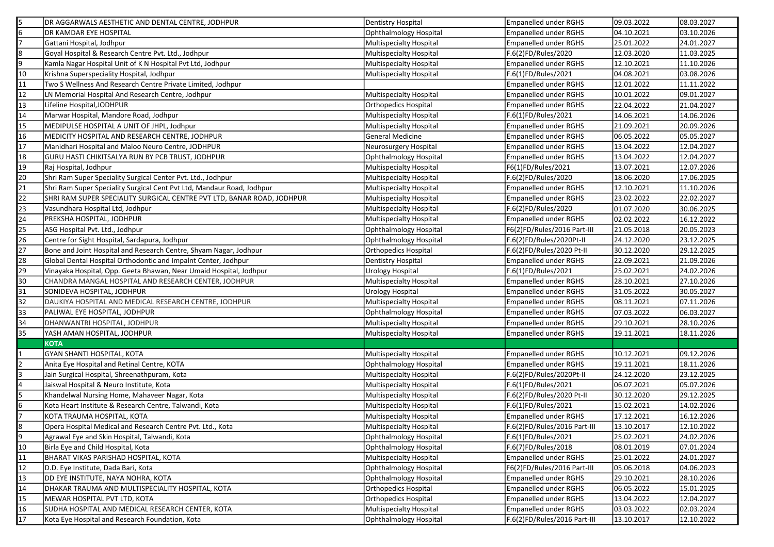| 5               | <b>JDR AGGARWALS AESTHETIC AND DENTAL CENTRE, JODHPUR</b>              | Dentistry Hospital             | <b>Empanelled under RGHS</b> | 09.03.2022 | 08.03.2027 |
|-----------------|------------------------------------------------------------------------|--------------------------------|------------------------------|------------|------------|
| 6               | <b>DR KAMDAR EYE HOSPITAL</b>                                          | Ophthalmology Hospital         | <b>Empanelled under RGHS</b> | 04.10.2021 | 03.10.2026 |
|                 | Gattani Hospital, Jodhpur                                              | <b>Multispecialty Hospital</b> | Empanelled under RGHS        | 25.01.2022 | 24.01.2027 |
| 8               | Goyal Hospital & Research Centre Pvt. Ltd., Jodhpur                    | Multispecialty Hospital        | F.6(2)FD/Rules/2020          | 12.03.2020 | 11.03.2025 |
| 9               | Kamla Nagar Hospital Unit of K N Hospital Pvt Ltd, Jodhpur             | Multispecialty Hospital        | <b>Empanelled under RGHS</b> | 12.10.2021 | 11.10.2026 |
| 10              | Krishna Superspeciality Hospital, Jodhpur                              | Multispecialty Hospital        | F.6(1)FD/Rules/2021          | 04.08.2021 | 03.08.2026 |
| 11              | Two S Wellness And Research Centre Private Limited, Jodhpur            |                                | <b>Empanelled under RGHS</b> | 12.01.2022 | 11.11.2022 |
| 12              | LN Memorial Hospital And Research Centre, Jodhpur                      | <b>Multispecialty Hospital</b> | Empanelled under RGHS        | 10.01.2022 | 09.01.2027 |
| 13              | Lifeline Hospital, JODHPUR                                             | Orthopedics Hospital           | Empanelled under RGHS        | 22.04.2022 | 21.04.2027 |
| 14              | Marwar Hospital, Mandore Road, Jodhpur                                 | Multispecialty Hospital        | F.6(1)FD/Rules/2021          | 14.06.2021 | 14.06.2026 |
| 15              | MEDIPULSE HOSPITAL A UNIT OF JHPL, Jodhpur                             | Multispecialty Hospital        | Empanelled under RGHS        | 21.09.2021 | 20.09.2026 |
| 16              | MEDICITY HOSPITAL AND RESEARCH CENTRE, JODHPUR                         | General Medicine               | Empanelled under RGHS        | 06.05.2022 | 05.05.2027 |
| 17              | Manidhari Hospital and Maloo Neuro Centre, JODHPUR                     | Neurosurgery Hospital          | Empanelled under RGHS        | 13.04.2022 | 12.04.2027 |
| 18              | GURU HASTI CHIKITSALYA RUN BY PCB TRUST, JODHPUR                       | Ophthalmology Hospital         | Empanelled under RGHS        | 13.04.2022 | 12.04.2027 |
| 19              | Raj Hospital, Jodhpur                                                  | Multispecialty Hospital        | F6(1)FD/Rules/2021           | 13.07.2021 | 12.07.2026 |
| 20              | Shri Ram Super Speciality Surgical Center Pvt. Ltd., Jodhpur           | Multispecialty Hospital        | F.6(2)FD/Rules/2020          | 18.06.2020 | 17.06.2025 |
| 21              | Shri Ram Super Speciality Surgical Cent Pvt Ltd, Mandaur Road, Jodhpur | Multispecialty Hospital        | Empanelled under RGHS        | 12.10.2021 | 11.10.2026 |
| 22              | SHRI RAM SUPER SPECIALITY SURGICAL CENTRE PVT LTD, BANAR ROAD, JODHPUR | Multispecialty Hospital        | <b>Empanelled under RGHS</b> | 23.02.2022 | 22.02.2027 |
| 23              | Vasundhara Hospital Ltd, Jodhpur                                       | Multispecialty Hospital        | F.6(2)FD/Rules/2020          | 01.07.2020 | 30.06.2025 |
| $\overline{24}$ | <b>PREKSHA HOSPITAL, JODHPUR</b>                                       | Multispecialty Hospital        | <b>Empanelled under RGHS</b> | 02.02.2022 | 16.12.2022 |
| 25              | ASG Hospital Pvt. Ltd., Jodhpur                                        | Ophthalmology Hospital         | F6(2)FD/Rules/2016 Part-III  | 21.05.2018 | 20.05.2023 |
| $\overline{26}$ | Centre for Sight Hospital, Sardapura, Jodhpur                          | Ophthalmology Hospital         | F.6(2)FD/Rules/2020Pt-II     | 24.12.2020 | 23.12.2025 |
| 27              | Bone and Joint Hospital and Research Centre, Shyam Nagar, Jodhpur      | <b>Orthopedics Hospital</b>    | F.6(2)FD/Rules/2020 Pt-II    | 30.12.2020 | 29.12.2025 |
| 28              | Global Dental Hospital Orthodontic and Impalnt Center, Jodhpur         | Dentistry Hospital             | Empanelled under RGHS        | 22.09.2021 | 21.09.2026 |
| 29              | Vinayaka Hospital, Opp. Geeta Bhawan, Near Umaid Hospital, Jodhpur     | <b>Urology Hospital</b>        | F.6(1)FD/Rules/2021          | 25.02.2021 | 24.02.2026 |
| 30              | CHANDRA MANGAL HOSPITAL AND RESEARCH CENTER, JODHPUR                   | <b>Multispecialty Hospital</b> | <b>Empanelled under RGHS</b> | 28.10.2021 | 27.10.2026 |
| 31              | SONIDEVA HOSPITAL, JODHPUR                                             | <b>Urology Hospital</b>        | <b>Empanelled under RGHS</b> | 31.05.2022 | 30.05.2027 |
| 32              | DAUKIYA HOSPITAL AND MEDICAL RESEARCH CENTRE, JODHPUR                  | Multispecialty Hospital        | Empanelled under RGHS        | 08.11.2021 | 07.11.2026 |
| 33              | PALIWAL EYE HOSPITAL, JODHPUR                                          | Ophthalmology Hospital         | Empanelled under RGHS        | 07.03.2022 | 06.03.2027 |
| 34              | DHANWANTRI HOSPITAL, JODHPUR                                           | Multispecialty Hospital        | <b>Empanelled under RGHS</b> | 29.10.2021 | 28.10.2026 |
| 35              | YASH AMAN HOSPITAL, JODHPUR                                            | Multispecialty Hospital        | Empanelled under RGHS        | 19.11.2021 | 18.11.2026 |
|                 | <b>KOTA</b>                                                            |                                |                              |            |            |
|                 | GYAN SHANTI HOSPITAL, KOTA                                             | Multispecialty Hospital        | <b>Empanelled under RGHS</b> | 10.12.2021 | 09.12.2026 |
| 2               | Anita Eye Hospital and Retinal Centre, KOTA                            | Ophthalmology Hospital         | Empanelled under RGHS        | 19.11.2021 | 18.11.2026 |
| 3               | Jain Surgical Hospital, Shreenathpuram, Kota                           | Multispecialty Hospital        | F.6(2)FD/Rules/2020Pt-II     | 24.12.2020 | 23.12.2025 |
|                 | Jaiswal Hospital & Neuro Institute, Kota                               | Multispecialty Hospital        | F.6(1)FD/Rules/2021          | 06.07.2021 | 05.07.2026 |
| l5              | Khandelwal Nursing Home, Mahaveer Nagar, Kota                          | Multispecialty Hospital        | F.6(2)FD/Rules/2020 Pt-II    | 30.12.2020 | 29.12.2025 |
| l6              | Kota Heart Institute & Research Centre, Talwandi, Kota                 | Multispecialty Hospital        | F.6(1)FD/Rules/2021          | 15.02.2021 | 14.02.2026 |
| 17              | KOTA TRAUMA HOSPITAL, KOTA                                             | Multispecialty Hospital        | <b>Empanelled under RGHS</b> | 17.12.2021 | 16.12.2026 |
| 8               | Opera Hospital Medical and Research Centre Pvt. Ltd., Kota             | Multispecialty Hospital        | F.6(2)FD/Rules/2016 Part-III | 13.10.2017 | 12.10.2022 |
| 9               | Agrawal Eye and Skin Hospital, Talwandi, Kota                          | Ophthalmology Hospital         | F.6(1)FD/Rules/2021          | 25.02.2021 | 24.02.2026 |
| 10              | Birla Eye and Child Hospital, Kota                                     | Ophthalmology Hospital         | F.6(7)FD/Rules/2018          | 08.01.2019 | 07.01.2024 |
| 11              | <b>BHARAT VIKAS PARISHAD HOSPITAL, KOTA</b>                            | Multispecialty Hospital        | <b>Empanelled under RGHS</b> | 25.01.2022 | 24.01.2027 |
| 12              | D.D. Eye Institute, Dada Bari, Kota                                    | Ophthalmology Hospital         | F6(2)FD/Rules/2016 Part-III  | 05.06.2018 | 04.06.2023 |
| 13              | DD EYE INSTITUTE, NAYA NOHRA, KOTA                                     | Ophthalmology Hospital         | <b>Empanelled under RGHS</b> | 29.10.2021 | 28.10.2026 |
| 14              | DHAKAR TRAUMA AND MULTISPECIALITY HOSPITAL, KOTA                       | Orthopedics Hospital           | <b>Empanelled under RGHS</b> | 06.05.2022 | 15.01.2025 |
| 15              | MEWAR HOSPITAL PVT LTD, KOTA                                           | Orthopedics Hospital           | <b>Empanelled under RGHS</b> | 13.04.2022 | 12.04.2027 |
| 16              | SUDHA HOSPITAL AND MEDICAL RESEARCH CENTER, KOTA                       | Multispecialty Hospital        | <b>Empanelled under RGHS</b> | 03.03.2022 | 02.03.2024 |
| 17              | Kota Eye Hospital and Research Foundation, Kota                        | Ophthalmology Hospital         | F.6(2)FD/Rules/2016 Part-III | 13.10.2017 | 12.10.2022 |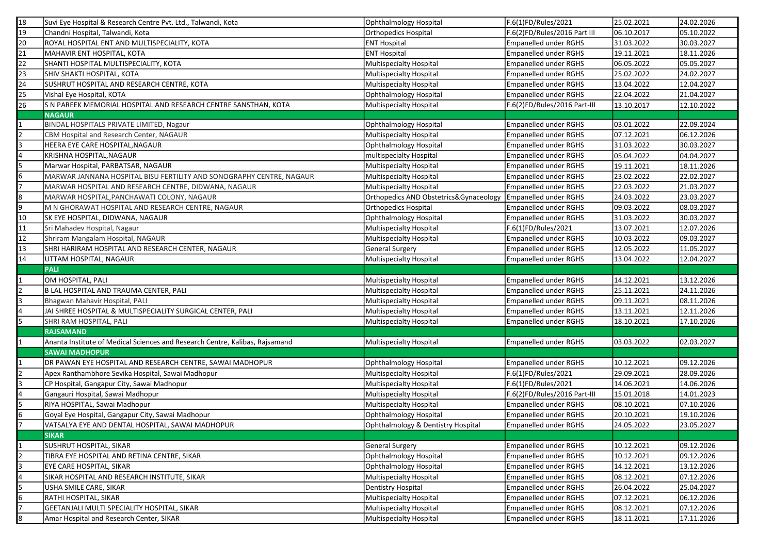| 18  | Suvi Eye Hospital & Research Centre Pvt. Ltd., Talwandi, Kota                                         | Ophthalmology Hospital                             | F.6(1)FD/Rules/2021                                          | 25.02.2021               | 24.02.2026               |
|-----|-------------------------------------------------------------------------------------------------------|----------------------------------------------------|--------------------------------------------------------------|--------------------------|--------------------------|
| 19  | Chandni Hospital, Talwandi, Kota                                                                      | <b>Orthopedics Hospital</b>                        | F.6(2)FD/Rules/2016 Part III                                 | 06.10.2017               | 05.10.2022               |
| 20  | ROYAL HOSPITAL ENT AND MULTISPECIALITY, KOTA                                                          | <b>ENT Hospital</b>                                | Empanelled under RGHS                                        | 31.03.2022               | 30.03.2027               |
| 21  | MAHAVIR ENT HOSPITAL, KOTA                                                                            | <b>ENT Hospital</b>                                | Empanelled under RGHS                                        | 19.11.2021               | 18.11.2026               |
| 22  | SHANTI HOSPITAL MULTISPECIALITY, KOTA                                                                 | Multispecialty Hospital                            | Empanelled under RGHS                                        | 06.05.2022               | 05.05.2027               |
| 23  | SHIV SHAKTI HOSPITAL, KOTA                                                                            | Multispecialty Hospital                            | <b>Empanelled under RGHS</b>                                 | 25.02.2022               | 24.02.2027               |
| 24  | SUSHRUT HOSPITAL AND RESEARCH CENTRE, KOTA                                                            | Multispecialty Hospital                            | <b>Empanelled under RGHS</b>                                 | 13.04.2022               | 12.04.2027               |
| 25  | Vishal Eye Hospital, KOTA                                                                             | <b>Ophthalmology Hospital</b>                      | <b>Empanelled under RGHS</b>                                 | 22.04.2022               | 21.04.2027               |
| 26  | S N PAREEK MEMORIAL HOSPITAL AND RESEARCH CENTRE SANSTHAN, KOTA                                       | Multispecialty Hospital                            | F.6(2)FD/Rules/2016 Part-III                                 | 13.10.2017               | 12.10.2022               |
|     | <b>NAGAUR</b>                                                                                         |                                                    |                                                              |                          |                          |
|     | BINDAL HOSPITALS PRIVATE LIMITED, Nagaur                                                              | Ophthalmology Hospital                             | Empanelled under RGHS                                        | 03.01.2022               | 22.09.2024               |
|     | CBM Hospital and Research Center, NAGAUR                                                              | Multispecialty Hospital                            | Empanelled under RGHS                                        | 07.12.2021               | 06.12.2026               |
|     | HEERA EYE CARE HOSPITAL,NAGAUR                                                                        | Ophthalmology Hospital                             | <b>Empanelled under RGHS</b>                                 | 31.03.2022               | 30.03.2027               |
|     | KRISHNA HOSPITAL, NAGAUR                                                                              | multispecialty Hospital                            | Empanelled under RGHS                                        | 05.04.2022               | 04.04.2027               |
|     | Marwar Hospital, PARBATSAR, NAGAUR                                                                    | Multispecialty Hospital                            | <b>Empanelled under RGHS</b>                                 | 19.11.2021               | 18.11.2026               |
|     | MARWAR JANNANA HOSPITAL BISU FERTILITY AND SONOGRAPHY CENTRE, NAGAUR                                  | Multispecialty Hospital                            | <b>Empanelled under RGHS</b>                                 | 23.02.2022               | 22.02.2027               |
|     | MARWAR HOSPITAL AND RESEARCH CENTRE, DIDWANA, NAGAUR                                                  | Multispecialty Hospital                            | <b>Empanelled under RGHS</b>                                 | 22.03.2022               | 21.03.2027               |
| 8   | MARWAR HOSPITAL, PANCHAWATI COLONY, NAGAUR                                                            | Orthopedics AND Obstetrics&Gynaceology             | Empanelled under RGHS                                        | 24.03.2022               | 23.03.2027               |
| 9   | M N GHORAWAT HOSPITAL AND RESEARCH CENTRE, NAGAUR                                                     | <b>Orthopedics Hospital</b>                        | <b>Empanelled under RGHS</b>                                 | 09.03.2022               | 08.03.2027               |
| 10  | SK EYE HOSPITAL, DIDWANA, NAGAUR                                                                      | Ophthalmology Hospital                             | Empanelled under RGHS                                        | 31.03.2022               | 30.03.2027               |
| 11  | Sri Mahadev Hospital, Nagaur                                                                          | Multispecialty Hospital                            | F.6(1)FD/Rules/2021                                          | 13.07.2021               | 12.07.2026               |
| 12  | Shriram Mangalam Hospital, NAGAUR                                                                     | Multispecialty Hospital                            | Empanelled under RGHS                                        | 10.03.2022               | 09.03.2027               |
| 13  | SHRI HARIRAM HOSPITAL AND RESEARCH CENTER, NAGAUR                                                     | <b>General Surgery</b>                             | Empanelled under RGHS                                        | 12.05.2022               | 11.05.2027               |
| 14  | UTTAM HOSPITAL, NAGAUR                                                                                | Multispecialty Hospital                            | <b>Empanelled under RGHS</b>                                 | 13.04.2022               | 12.04.2027               |
|     |                                                                                                       |                                                    |                                                              |                          |                          |
|     | <b>PALI</b>                                                                                           |                                                    |                                                              |                          |                          |
|     |                                                                                                       |                                                    | Empanelled under RGHS                                        |                          |                          |
|     | OM HOSPITAL, PALI<br>B LAL HOSPITAL AND TRAUMA CENTER, PALI                                           | Multispecialty Hospital                            |                                                              | 14.12.2021               | 13.12.2026               |
|     |                                                                                                       | <b>Multispecialty Hospital</b>                     | Empanelled under RGHS                                        | 25.11.2021               | 24.11.2026               |
|     | Bhagwan Mahavir Hospital, PALI                                                                        | Multispecialty Hospital                            | Empanelled under RGHS                                        | 09.11.2021               | 08.11.2026               |
|     | JAI SHREE HOSPITAL & MULTISPECIALITY SURGICAL CENTER, PALI                                            | Multispecialty Hospital                            | Empanelled under RGHS                                        | 13.11.2021               | 12.11.2026               |
|     | SHRI RAM HOSPITAL, PALI<br><b>RAJSAMAND</b>                                                           | Multispecialty Hospital                            | Empanelled under RGHS                                        | 18.10.2021               | 17.10.2026               |
|     |                                                                                                       |                                                    |                                                              | 03.03.2022               | 02.03.2027               |
|     | Ananta Institute of Medical Sciences and Research Centre, Kalibas, Rajsamand<br><b>SAWAI MADHOPUR</b> | Multispecialty Hospital                            | Empanelled under RGHS                                        |                          |                          |
|     | DR PAWAN EYE HOSPITAL AND RESEARCH CENTRE, SAWAI MADHOPUR                                             |                                                    | <b>Empanelled under RGHS</b>                                 | 10.12.2021               | 09.12.2026               |
|     |                                                                                                       | Ophthalmology Hospital                             |                                                              |                          |                          |
|     | Apex Ranthambhore Sevika Hospital, Sawai Madhopur                                                     | Multispecialty Hospital                            | F.6(1)FD/Rules/2021                                          | 29.09.2021               | 28.09.2026               |
|     | CP Hospital, Gangapur City, Sawai Madhopur                                                            | Multispecialty Hospital                            | F.6(1)FD/Rules/2021                                          | 14.06.2021               | 14.06.2026               |
| 15. | Gangauri Hospital, Sawai Madhopur                                                                     | Multispecialty Hospital<br>Multispecialty Hospital | F.6(2)FD/Rules/2016 Part-III                                 | 15.01.2018               | 14.01.2023               |
|     | RIYA HOSPITAL, Sawai Madhopur                                                                         |                                                    | <b>Empanelled under RGHS</b>                                 | 08.10.2021               | 07.10.2026               |
| 6   | Goyal Eye Hospital, Gangapur City, Sawai Madhopur                                                     | Ophthalmology Hospital                             | <b>Empanelled under RGHS</b>                                 | 20.10.2021               | 19.10.2026               |
|     | VATSALYA EYE AND DENTAL HOSPITAL, SAWAI MADHOPUR                                                      | Ophthalmology & Dentistry Hospital                 | <b>Empanelled under RGHS</b>                                 | 24.05.2022               | 23.05.2027               |
|     | <b>SIKAR</b>                                                                                          | <b>General Surgery</b>                             |                                                              |                          |                          |
|     | <b>SUSHRUT HOSPITAL, SIKAR</b><br>TIBRA EYE HOSPITAL AND RETINA CENTRE, SIKAR                         |                                                    | Empanelled under RGHS<br><b>Empanelled under RGHS</b>        | 10.12.2021               | 09.12.2026               |
| 3   | EYE CARE HOSPITAL, SIKAR                                                                              | Ophthalmology Hospital<br>Ophthalmology Hospital   | <b>Empanelled under RGHS</b>                                 | 10.12.2021               | 09.12.2026               |
|     |                                                                                                       |                                                    |                                                              | 14.12.2021               | 13.12.2026               |
| 5.  | SIKAR HOSPITAL AND RESEARCH INSTITUTE, SIKAR                                                          | Multispecialty Hospital                            | <b>Empanelled under RGHS</b><br><b>Empanelled under RGHS</b> | 08.12.2021               | 07.12.2026               |
| 6   | USHA SMILE CARE, SIKAR                                                                                | Dentistry Hospital                                 |                                                              | 26.04.2022               | 25.04.2027               |
|     | RATHI HOSPITAL, SIKAR<br>GEETANJALI MULTI SPECIALITY HOSPITAL, SIKAR                                  | Multispecialty Hospital<br>Multispecialty Hospital | <b>Empanelled under RGHS</b><br>Empanelled under RGHS        | 07.12.2021<br>08.12.2021 | 06.12.2026<br>07.12.2026 |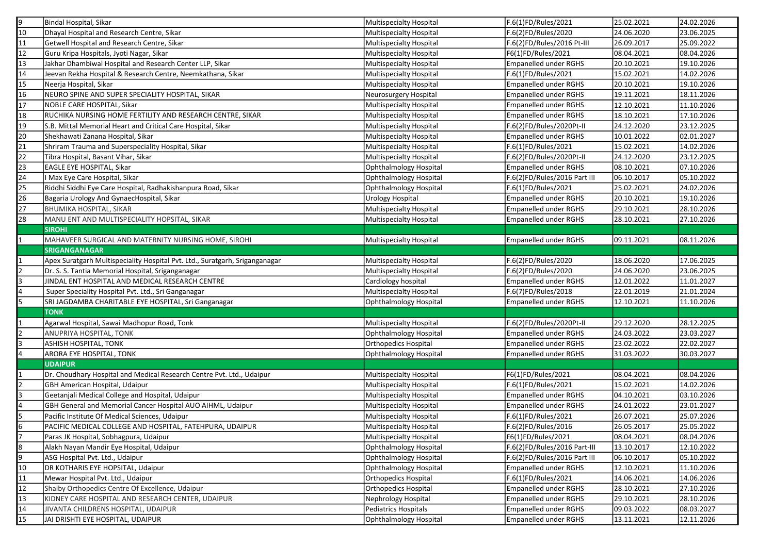| 9               | Bindal Hospital, Sikar                                                      | Multispecialty Hospital | F.6(1)FD/Rules/2021          | 25.02.2021 | 24.02.2026 |
|-----------------|-----------------------------------------------------------------------------|-------------------------|------------------------------|------------|------------|
| $\overline{10}$ | Dhayal Hospital and Research Centre, Sikar                                  | Multispecialty Hospital | F.6(2)FD/Rules/2020          | 24.06.2020 | 23.06.2025 |
| $\overline{11}$ | Getwell Hospital and Research Centre, Sikar                                 | Multispecialty Hospital | F.6(2)FD/Rules/2016 Pt-III   | 26.09.2017 | 25.09.2022 |
| 12              | Guru Kripa Hospitals, Jyoti Nagar, Sikar                                    | Multispecialty Hospital | F6(1)FD/Rules/2021           | 08.04.2021 | 08.04.2026 |
| 13              | Jakhar Dhambiwal Hospital and Research Center LLP, Sikar                    | Multispecialty Hospital | Empanelled under RGHS        | 20.10.2021 | 19.10.2026 |
| 14              | Jeevan Rekha Hospital & Research Centre, Neemkathana, Sikar                 | Multispecialty Hospital | F.6(1)FD/Rules/2021          | 15.02.2021 | 14.02.2026 |
| 15              | Neerja Hospital, Sikar                                                      | Multispecialty Hospital | Empanelled under RGHS        | 20.10.2021 | 19.10.2026 |
| 16              | NEURO SPINE AND SUPER SPECIALITY HOSPITAL, SIKAR                            | Neurosurgery Hospital   | <b>Empanelled under RGHS</b> | 19.11.2021 | 18.11.2026 |
| 17              | NOBLE CARE HOSPITAL, Sikar                                                  | Multispecialty Hospital | Empanelled under RGHS        | 12.10.2021 | 11.10.2026 |
| 18              | RUCHIKA NURSING HOME FERTILITY AND RESEARCH CENTRE, SIKAR                   | Multispecialty Hospital | <b>Empanelled under RGHS</b> | 18.10.2021 | 17.10.2026 |
| 19              | S.B. Mittal Memorial Heart and Critical Care Hospital, Sikar                | Multispecialty Hospital | F.6(2)FD/Rules/2020Pt-II     | 24.12.2020 | 23.12.2025 |
| $\overline{20}$ | Shekhawati Zanana Hospital, Sikar                                           | Multispecialty Hospital | Empanelled under RGHS        | 10.01.2022 | 02.01.2027 |
| $\overline{21}$ | Shriram Trauma and Superspeciality Hospital, Sikar                          | Multispecialty Hospital | F.6(1)FD/Rules/2021          | 15.02.2021 | 14.02.2026 |
| $\overline{22}$ | Tibra Hospital, Basant Vihar, Sikar                                         | Multispecialty Hospital | F.6(2)FD/Rules/2020Pt-II     | 24.12.2020 | 23.12.2025 |
| 23              | EAGLE EYE HOSPITAL, Sikar                                                   | Ophthalmology Hospital  | Empanelled under RGHS        | 08.10.2021 | 07.10.2026 |
| 24              | I Max Eye Care Hospital, Sikar                                              | Ophthalmology Hospital  | F.6(2)FD/Rules/2016 Part III | 06.10.2017 | 05.10.2022 |
| 25              | Riddhi Siddhi Eye Care Hospital, Radhakishanpura Road, Sikar                | Ophthalmology Hospital  | F.6(1)FD/Rules/2021          | 25.02.2021 | 24.02.2026 |
| $\overline{26}$ | Bagaria Urology And GynaecHospital, Sikar                                   | Urology Hospital        | Empanelled under RGHS        | 20.10.2021 | 19.10.2026 |
| 27              | <b>BHUMIKA HOSPITAL, SIKAR</b>                                              | Multispecialty Hospital | Empanelled under RGHS        | 29.10.2021 | 28.10.2026 |
| 28              | MANU ENT AND MULTISPECIALITY HOPSITAL, SIKAR                                | Multispecialty Hospital | Empanelled under RGHS        | 28.10.2021 | 27.10.2026 |
|                 | <b>SIROHI</b>                                                               |                         |                              |            |            |
|                 | MAHAVEER SURGICAL AND MATERNITY NURSING HOME, SIROHI                        | Multispecialty Hospital | Empanelled under RGHS        | 09.11.2021 | 08.11.2026 |
|                 | <b>SRIGANGANAGAR</b>                                                        |                         |                              |            |            |
|                 | Apex Suratgarh Multispeciality Hospital Pvt. Ltd., Suratgarh, Sriganganagar | Multispecialty Hospital | F.6(2)FD/Rules/2020          | 18.06.2020 | 17.06.2025 |
| 12              | Dr. S. S. Tantia Memorial Hospital, Sriganganagar                           | Multispecialty Hospital | F.6(2)FD/Rules/2020          | 24.06.2020 | 23.06.2025 |
| lз              | JINDAL ENT HOSPITAL AND MEDICAL RESEARCH CENTRE                             | Cardiology hospital     | <b>Empanelled under RGHS</b> | 12.01.2022 | 11.01.2027 |
| 4               | Super Speciality Hospital Pvt. Ltd., Sri Ganganagar                         | Multispecialty Hospital | F.6(7)FD/Rules/2018          | 22.01.2019 | 21.01.2024 |
| 5               | SRI JAGDAMBA CHARITABLE EYE HOSPITAL, Sri Ganganagar                        | Ophthalmology Hospital  | <b>Empanelled under RGHS</b> | 12.10.2021 | 11.10.2026 |
|                 | <b>TONK</b>                                                                 |                         |                              |            |            |
|                 | Agarwal Hospital, Sawai Madhopur Road, Tonk                                 | Multispecialty Hospital | F.6(2)FD/Rules/2020Pt-II     | 29.12.2020 | 28.12.2025 |
| 2               | ANUPRIYA HOSPITAL, TONK                                                     | Ophthalmology Hospital  | <b>Empanelled under RGHS</b> | 24.03.2022 | 23.03.2027 |
| 3               | <b>ASHISH HOSPITAL, TONK</b>                                                | Orthopedics Hospital    | Empanelled under RGHS        | 23.02.2022 | 22.02.2027 |
|                 | ARORA EYE HOSPITAL, TONK                                                    | Ophthalmology Hospital  | <b>Empanelled under RGHS</b> | 31.03.2022 | 30.03.2027 |
|                 | <b>UDAIPUR</b>                                                              |                         |                              |            |            |
|                 | Dr. Choudhary Hospital and Medical Research Centre Pvt. Ltd., Udaipur       | Multispecialty Hospital | F6(1)FD/Rules/2021           | 08.04.2021 | 08.04.2026 |
| 2               | GBH American Hospital, Udaipur                                              | Multispecialty Hospital | F.6(1)FD/Rules/2021          | 15.02.2021 | 14.02.2026 |
| l3              | Geetanjali Medical College and Hospital, Udaipur                            | Multispecialty Hospital | <b>Empanelled under RGHS</b> | 04.10.2021 | 03.10.2026 |
| l4              | GBH General and Memorial Cancer Hospital AUO AIHML, Udaipur                 | Multispecialty Hospital | Empanelled under RGHS        | 24.01.2022 | 23.01.2027 |
| 5               | Pacific Institute Of Medical Sciences, Udaipur                              | Multispecialty Hospital | F.6(1)FD/Rules/2021          | 26.07.2021 | 25.07.2026 |
| 6               | PACIFIC MEDICAL COLLEGE AND HOSPITAL, FATEHPURA, UDAIPUR                    | Multispecialty Hospital | F.6(2)FD/Rules/2016          | 26.05.2017 | 25.05.2022 |
| 7               | Paras JK Hospital, Sobhagpura, Udaipur                                      | Multispecialty Hospital | F6(1)FD/Rules/2021           | 08.04.2021 | 08.04.2026 |
| 8               | Alakh Nayan Mandir Eye Hospital, Udaipur                                    | Ophthalmology Hospital  | F.6(2)FD/Rules/2016 Part-III | 13.10.2017 | 12.10.2022 |
| 9               | ASG Hospital Pvt. Ltd., Udaipur                                             | Ophthalmology Hospital  | F.6(2)FD/Rules/2016 Part III | 06.10.2017 | 05.10.2022 |
| 10              | DR KOTHARIS EYE HOPSITAL, Udaipur                                           | Ophthalmology Hospital  | <b>Empanelled under RGHS</b> | 12.10.2021 | 11.10.2026 |
| 11              | Mewar Hospital Pvt. Ltd., Udaipur                                           | Orthopedics Hospital    | F.6(1)FD/Rules/2021          | 14.06.2021 | 14.06.2026 |
| 12              | Shalby Orthopedics Centre Of Excellence, Udaipur                            | Orthopedics Hospital    | <b>Empanelled under RGHS</b> | 28.10.2021 | 27.10.2026 |
| 13              | KIDNEY CARE HOSPITAL AND RESEARCH CENTER, UDAIPUR                           | Nephrology Hospital     | <b>Empanelled under RGHS</b> | 29.10.2021 | 28.10.2026 |
| 14              | JIVANTA CHILDRENS HOSPITAL, UDAIPUR                                         | Pediatrics Hospitals    | Empanelled under RGHS        | 09.03.2022 | 08.03.2027 |
| 15              | JAI DRISHTI EYE HOSPITAL, UDAIPUR                                           | Ophthalmology Hospital  | <b>Empanelled under RGHS</b> | 13.11.2021 | 12.11.2026 |